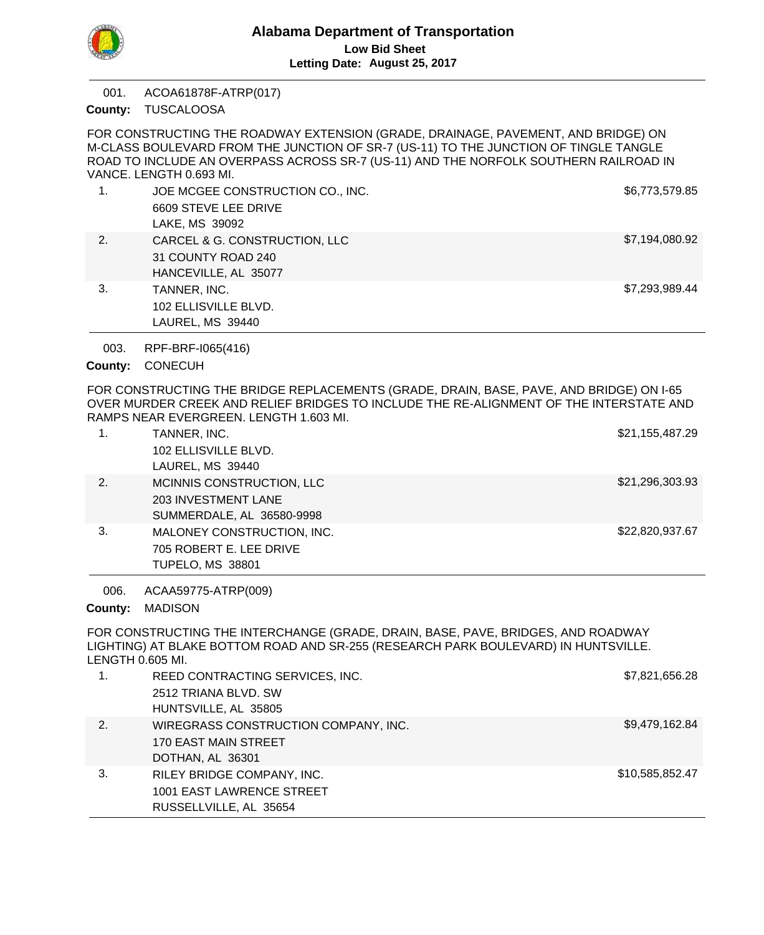

ACOA61878F-ATRP(017) 001.

County: TUSCALOOSA

FOR CONSTRUCTING THE ROADWAY EXTENSION (GRADE, DRAINAGE, PAVEMENT, AND BRIDGE) ON M-CLASS BOULEVARD FROM THE JUNCTION OF SR-7 (US-11) TO THE JUNCTION OF TINGLE TANGLE ROAD TO INCLUDE AN OVERPASS ACROSS SR-7 (US-11) AND THE NORFOLK SOUTHERN RAILROAD IN VANCE. LENGTH 0.693 MI.

|    | JOE MCGEE CONSTRUCTION CO., INC.<br>6609 STEVE LEE DRIVE<br>LAKE, MS 39092  | \$6,773,579.85 |
|----|-----------------------------------------------------------------------------|----------------|
| 2. | CARCEL & G. CONSTRUCTION, LLC<br>31 COUNTY ROAD 240<br>HANCEVILLE, AL 35077 | \$7,194,080.92 |
| 3. | TANNER, INC.<br>102 ELLISVILLE BLVD.<br>LAUREL, MS 39440                    | \$7,293,989.44 |

RPF-BRF-I065(416) 003.

County: CONECUH

FOR CONSTRUCTING THE BRIDGE REPLACEMENTS (GRADE, DRAIN, BASE, PAVE, AND BRIDGE) ON I-65 OVER MURDER CREEK AND RELIEF BRIDGES TO INCLUDE THE RE-ALIGNMENT OF THE INTERSTATE AND RAMPS NEAR EVERGREEN. LENGTH 1.603 MI.

|    | TANNER, INC.               | \$21,155,487.29 |
|----|----------------------------|-----------------|
|    | 102 ELLISVILLE BLVD.       |                 |
|    | LAUREL, MS 39440           |                 |
| 2. | MCINNIS CONSTRUCTION, LLC  | \$21,296,303.93 |
|    | <b>203 INVESTMENT LANE</b> |                 |
|    | SUMMERDALE, AL 36580-9998  |                 |
| 3. | MALONEY CONSTRUCTION, INC. | \$22,820,937.67 |
|    | 705 ROBERT E. LEE DRIVE    |                 |
|    | <b>TUPELO, MS 38801</b>    |                 |

ACAA59775-ATRP(009) 006.

MADISON **County:**

FOR CONSTRUCTING THE INTERCHANGE (GRADE, DRAIN, BASE, PAVE, BRIDGES, AND ROADWAY LIGHTING) AT BLAKE BOTTOM ROAD AND SR-255 (RESEARCH PARK BOULEVARD) IN HUNTSVILLE. LENGTH 0.605 MI.

|    | REED CONTRACTING SERVICES, INC.      | \$7,821,656.28  |
|----|--------------------------------------|-----------------|
|    | 2512 TRIANA BLVD, SW                 |                 |
|    | HUNTSVILLE, AL 35805                 |                 |
| 2. | WIREGRASS CONSTRUCTION COMPANY, INC. | \$9,479,162.84  |
|    | 170 EAST MAIN STREET                 |                 |
|    | DOTHAN, AL 36301                     |                 |
| 3. | RILEY BRIDGE COMPANY, INC.           | \$10,585,852.47 |
|    | 1001 EAST LAWRENCE STREET            |                 |
|    | RUSSELLVILLE, AL 35654               |                 |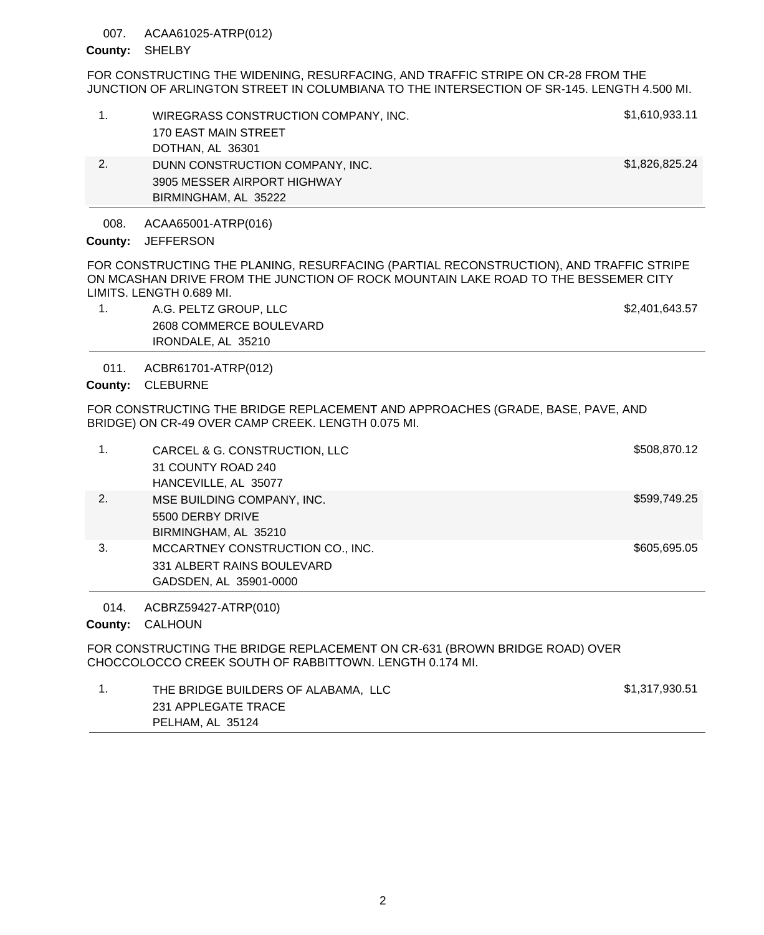### ACAA61025-ATRP(012) 007.

## County: SHELBY

FOR CONSTRUCTING THE WIDENING, RESURFACING, AND TRAFFIC STRIPE ON CR-28 FROM THE JUNCTION OF ARLINGTON STREET IN COLUMBIANA TO THE INTERSECTION OF SR-145. LENGTH 4.500 MI.

|    | WIREGRASS CONSTRUCTION COMPANY, INC.<br>170 EAST MAIN STREET<br>DOTHAN, AL 36301       | \$1,610,933.11 |
|----|----------------------------------------------------------------------------------------|----------------|
| 2. | DUNN CONSTRUCTION COMPANY, INC.<br>3905 MESSER AIRPORT HIGHWAY<br>BIRMINGHAM, AL 35222 | \$1,826,825.24 |

ACAA65001-ATRP(016) 008.

# County: JEFFERSON

FOR CONSTRUCTING THE PLANING, RESURFACING (PARTIAL RECONSTRUCTION), AND TRAFFIC STRIPE ON MCASHAN DRIVE FROM THE JUNCTION OF ROCK MOUNTAIN LAKE ROAD TO THE BESSEMER CITY LIMITS. LENGTH 0.689 MI.

1. A.G. PELTZ GROUP, LLC **A.G. A.G. PELTZ GROUP, LLC** 2608 COMMERCE BOULEVARD IRONDALE, AL 35210

ACBR61701-ATRP(012) 011.

County: CLEBURNE

FOR CONSTRUCTING THE BRIDGE REPLACEMENT AND APPROACHES (GRADE, BASE, PAVE, AND BRIDGE) ON CR-49 OVER CAMP CREEK. LENGTH 0.075 MI.

|    | CARCEL & G. CONSTRUCTION, LLC<br>31 COUNTY ROAD 240<br>HANCEVILLE, AL 35077              | \$508,870.12 |
|----|------------------------------------------------------------------------------------------|--------------|
| 2. | MSE BUILDING COMPANY, INC.<br>5500 DERBY DRIVE<br>BIRMINGHAM, AL 35210                   | \$599,749.25 |
| 3. | MCCARTNEY CONSTRUCTION CO., INC.<br>331 ALBERT RAINS BOULEVARD<br>GADSDEN, AL 35901-0000 | \$605,695.05 |

ACBRZ59427-ATRP(010) 014.

County: CALHOUN

FOR CONSTRUCTING THE BRIDGE REPLACEMENT ON CR-631 (BROWN BRIDGE ROAD) OVER CHOCCOLOCCO CREEK SOUTH OF RABBITTOWN. LENGTH 0.174 MI.

| THE BRIDGE BUILDERS OF ALABAMA, LLC | \$1,317,930.51 |
|-------------------------------------|----------------|
| 231 APPLEGATE TRACE                 |                |
| PELHAM, AL 35124                    |                |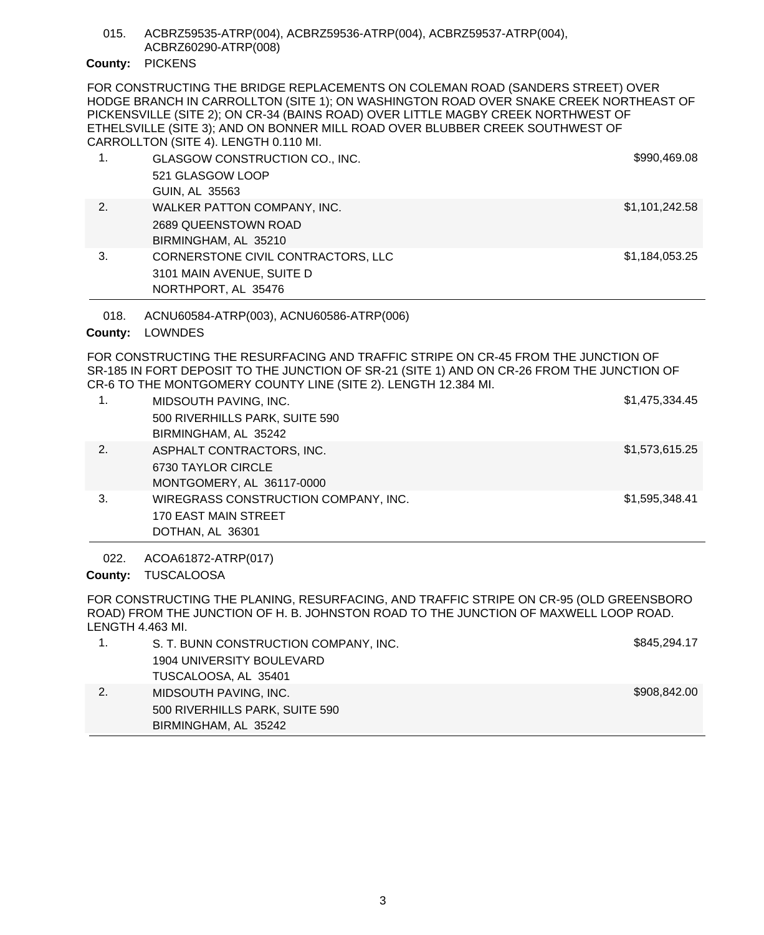ACBRZ59535-ATRP(004), ACBRZ59536-ATRP(004), ACBRZ59537-ATRP(004), ACBRZ60290-ATRP(008) 015.

# County: PICKENS

FOR CONSTRUCTING THE BRIDGE REPLACEMENTS ON COLEMAN ROAD (SANDERS STREET) OVER HODGE BRANCH IN CARROLLTON (SITE 1); ON WASHINGTON ROAD OVER SNAKE CREEK NORTHEAST OF PICKENSVILLE (SITE 2); ON CR-34 (BAINS ROAD) OVER LITTLE MAGBY CREEK NORTHWEST OF ETHELSVILLE (SITE 3); AND ON BONNER MILL ROAD OVER BLUBBER CREEK SOUTHWEST OF CARROLLTON (SITE 4). LENGTH 0.110 MI.

|    | GLASGOW CONSTRUCTION CO., INC.<br>521 GLASGOW LOOP<br>GUIN, AL 35563                   | \$990,469.08   |
|----|----------------------------------------------------------------------------------------|----------------|
| 2. | WALKER PATTON COMPANY, INC.<br>2689 QUEENSTOWN ROAD<br>BIRMINGHAM, AL 35210            | \$1,101,242.58 |
| 3. | CORNERSTONE CIVIL CONTRACTORS, LLC<br>3101 MAIN AVENUE, SUITE D<br>NORTHPORT, AL 35476 | \$1,184,053.25 |

ACNU60584-ATRP(003), ACNU60586-ATRP(006) 018.

# County: LOWNDES

FOR CONSTRUCTING THE RESURFACING AND TRAFFIC STRIPE ON CR-45 FROM THE JUNCTION OF SR-185 IN FORT DEPOSIT TO THE JUNCTION OF SR-21 (SITE 1) AND ON CR-26 FROM THE JUNCTION OF CR-6 TO THE MONTGOMERY COUNTY LINE (SITE 2). LENGTH 12.384 MI.

| 1. | MIDSOUTH PAVING, INC.<br>500 RIVERHILLS PARK, SUITE 590 | \$1,475,334.45 |
|----|---------------------------------------------------------|----------------|
|    | BIRMINGHAM, AL 35242                                    |                |
| 2. | ASPHALT CONTRACTORS, INC.                               | \$1,573,615.25 |
|    | 6730 TAYLOR CIRCLE                                      |                |
|    | MONTGOMERY, AL 36117-0000                               |                |
| 3. | WIREGRASS CONSTRUCTION COMPANY, INC.                    | \$1,595,348.41 |
|    | 170 EAST MAIN STREET                                    |                |
|    | DOTHAN, AL 36301                                        |                |

ACOA61872-ATRP(017) 022.

County: TUSCALOOSA

FOR CONSTRUCTING THE PLANING, RESURFACING, AND TRAFFIC STRIPE ON CR-95 (OLD GREENSBORO ROAD) FROM THE JUNCTION OF H. B. JOHNSTON ROAD TO THE JUNCTION OF MAXWELL LOOP ROAD. LENGTH 4.463 MI.

|               | S. T. BUNN CONSTRUCTION COMPANY, INC. | \$845,294.17 |
|---------------|---------------------------------------|--------------|
|               | 1904 UNIVERSITY BOULEVARD             |              |
|               | TUSCALOOSA, AL 35401                  |              |
| <sup>2.</sup> | MIDSOUTH PAVING, INC.                 | \$908,842.00 |
|               | 500 RIVERHILLS PARK, SUITE 590        |              |
|               | BIRMINGHAM, AL 35242                  |              |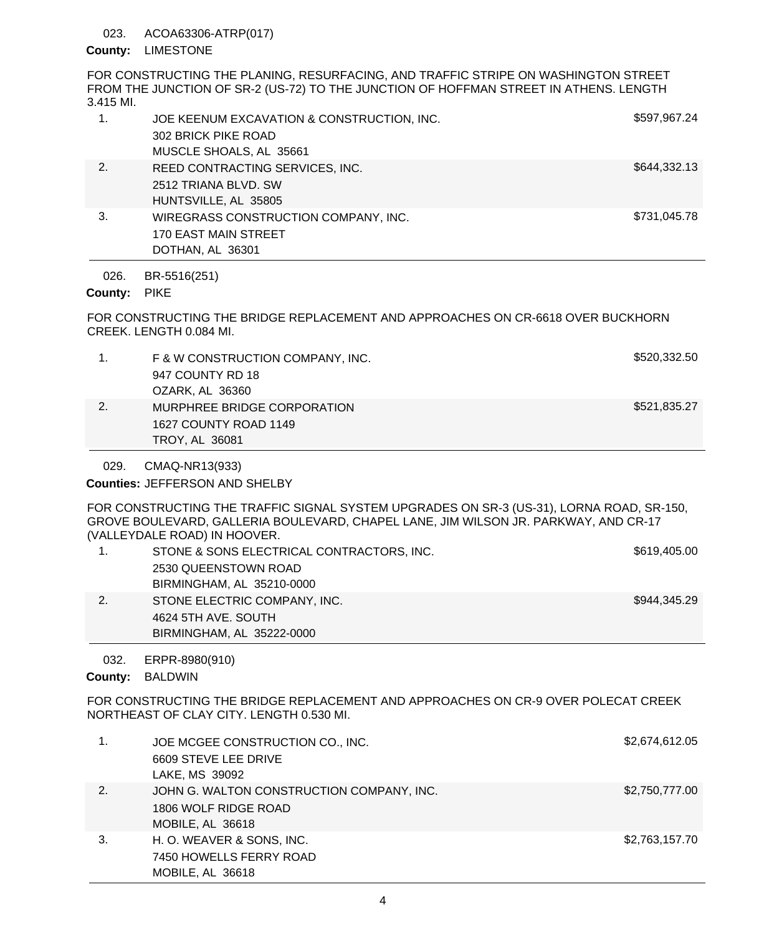### ACOA63306-ATRP(017) 023.

## County: LIMESTONE

FOR CONSTRUCTING THE PLANING, RESURFACING, AND TRAFFIC STRIPE ON WASHINGTON STREET FROM THE JUNCTION OF SR-2 (US-72) TO THE JUNCTION OF HOFFMAN STREET IN ATHENS. LENGTH 3.415 MI.

| 1. | JOE KEENUM EXCAVATION & CONSTRUCTION, INC.<br>302 BRICK PIKE ROAD<br>MUSCLE SHOALS, AL 35661 | \$597,967.24 |
|----|----------------------------------------------------------------------------------------------|--------------|
| 2. | REED CONTRACTING SERVICES, INC.<br>2512 TRIANA BLVD. SW<br>HUNTSVILLE, AL 35805              | \$644,332.13 |
| 3. | WIREGRASS CONSTRUCTION COMPANY, INC.<br><b>170 EAST MAIN STREET</b><br>DOTHAN, AL 36301      | \$731,045.78 |

BR-5516(251) 026.

# County: PIKE

FOR CONSTRUCTING THE BRIDGE REPLACEMENT AND APPROACHES ON CR-6618 OVER BUCKHORN CREEK. LENGTH 0.084 MI.

|    | F & W CONSTRUCTION COMPANY, INC.<br>947 COUNTY RD 18<br>OZARK, AL 36360       | \$520,332.50 |
|----|-------------------------------------------------------------------------------|--------------|
| 2. | MURPHREE BRIDGE CORPORATION<br>1627 COUNTY ROAD 1149<br><b>TROY, AL 36081</b> | \$521,835.27 |

CMAQ-NR13(933) 029.

Counties: JEFFERSON AND SHELBY

FOR CONSTRUCTING THE TRAFFIC SIGNAL SYSTEM UPGRADES ON SR-3 (US-31), LORNA ROAD, SR-150, GROVE BOULEVARD, GALLERIA BOULEVARD, CHAPEL LANE, JIM WILSON JR. PARKWAY, AND CR-17 (VALLEYDALE ROAD) IN HOOVER.

|    | STONE & SONS ELECTRICAL CONTRACTORS, INC. | \$619,405.00 |
|----|-------------------------------------------|--------------|
|    | 2530 QUEENSTOWN ROAD                      |              |
|    | BIRMINGHAM, AL 35210-0000                 |              |
| 2. | STONE ELECTRIC COMPANY, INC.              | \$944.345.29 |
|    | 4624 5TH AVE, SOUTH                       |              |
|    | BIRMINGHAM, AL 35222-0000                 |              |
|    |                                           |              |

ERPR-8980(910) 032.

County: BALDWIN

FOR CONSTRUCTING THE BRIDGE REPLACEMENT AND APPROACHES ON CR-9 OVER POLECAT CREEK NORTHEAST OF CLAY CITY. LENGTH 0.530 MI.

|    | JOE MCGEE CONSTRUCTION CO., INC.          | \$2,674,612.05 |
|----|-------------------------------------------|----------------|
|    | 6609 STEVE LEE DRIVE                      |                |
|    | LAKE, MS 39092                            |                |
| 2. | JOHN G. WALTON CONSTRUCTION COMPANY, INC. | \$2,750,777.00 |
|    | 1806 WOLF RIDGE ROAD                      |                |
|    | MOBILE, AL 36618                          |                |
| 3. | H. O. WEAVER & SONS, INC.                 | \$2,763,157.70 |
|    | 7450 HOWELLS FERRY ROAD                   |                |
|    | MOBILE, AL 36618                          |                |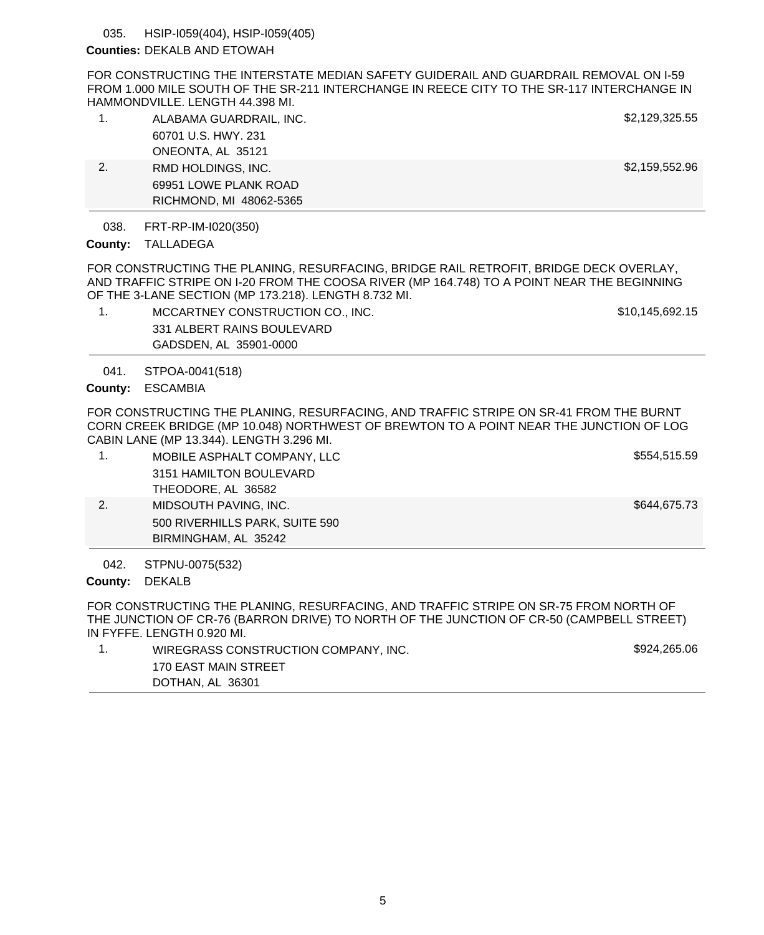HSIP-I059(404), HSIP-I059(405) 035.

## **Counties: DEKALB AND ETOWAH**

FOR CONSTRUCTING THE INTERSTATE MEDIAN SAFETY GUIDERAIL AND GUARDRAIL REMOVAL ON I-59 FROM 1.000 MILE SOUTH OF THE SR-211 INTERCHANGE IN REECE CITY TO THE SR-117 INTERCHANGE IN HAMMONDVILLE. LENGTH 44.398 MI.

|    | ALABAMA GUARDRAIL, INC. | \$2,129,325.55 |
|----|-------------------------|----------------|
|    | 60701 U.S. HWY, 231     |                |
|    | ONEONTA, AL 35121       |                |
| 2. | RMD HOLDINGS, INC.      | \$2,159,552.96 |
|    | 69951 LOWE PLANK ROAD   |                |
|    | RICHMOND, MI 48062-5365 |                |

#### FRT-RP-IM-I020(350) 038.

## County: TALLADEGA

FOR CONSTRUCTING THE PLANING, RESURFACING, BRIDGE RAIL RETROFIT, BRIDGE DECK OVERLAY, AND TRAFFIC STRIPE ON I-20 FROM THE COOSA RIVER (MP 164.748) TO A POINT NEAR THE BEGINNING OF THE 3-LANE SECTION (MP 173.218). LENGTH 8.732 MI.

1. MCCARTNEY CONSTRUCTION CO., INC. \$10,145,692.15 331 ALBERT RAINS BOULEVARD GADSDEN, AL 35901-0000

STPOA-0041(518) 041.

ESCAMBIA **County:**

FOR CONSTRUCTING THE PLANING, RESURFACING, AND TRAFFIC STRIPE ON SR-41 FROM THE BURNT CORN CREEK BRIDGE (MP 10.048) NORTHWEST OF BREWTON TO A POINT NEAR THE JUNCTION OF LOG CABIN LANE (MP 13.344). LENGTH 3.296 MI.

|    | MOBILE ASPHALT COMPANY, LLC    | \$554,515.59 |
|----|--------------------------------|--------------|
|    | 3151 HAMILTON BOULEVARD        |              |
|    | THEODORE, AL 36582             |              |
| 2. | MIDSOUTH PAVING, INC.          | \$644,675.73 |
|    | 500 RIVERHILLS PARK, SUITE 590 |              |
|    | BIRMINGHAM, AL 35242           |              |

STPNU-0075(532) 042.

## County: DEKALB

FOR CONSTRUCTING THE PLANING, RESURFACING, AND TRAFFIC STRIPE ON SR-75 FROM NORTH OF THE JUNCTION OF CR-76 (BARRON DRIVE) TO NORTH OF THE JUNCTION OF CR-50 (CAMPBELL STREET) IN FYFFE. LENGTH 0.920 MI.

| WIREGRASS CONSTRUCTION COMPANY, INC. | \$924,265.06 |
|--------------------------------------|--------------|
| 170 EAST MAIN STREET                 |              |
| DOTHAN, AL 36301                     |              |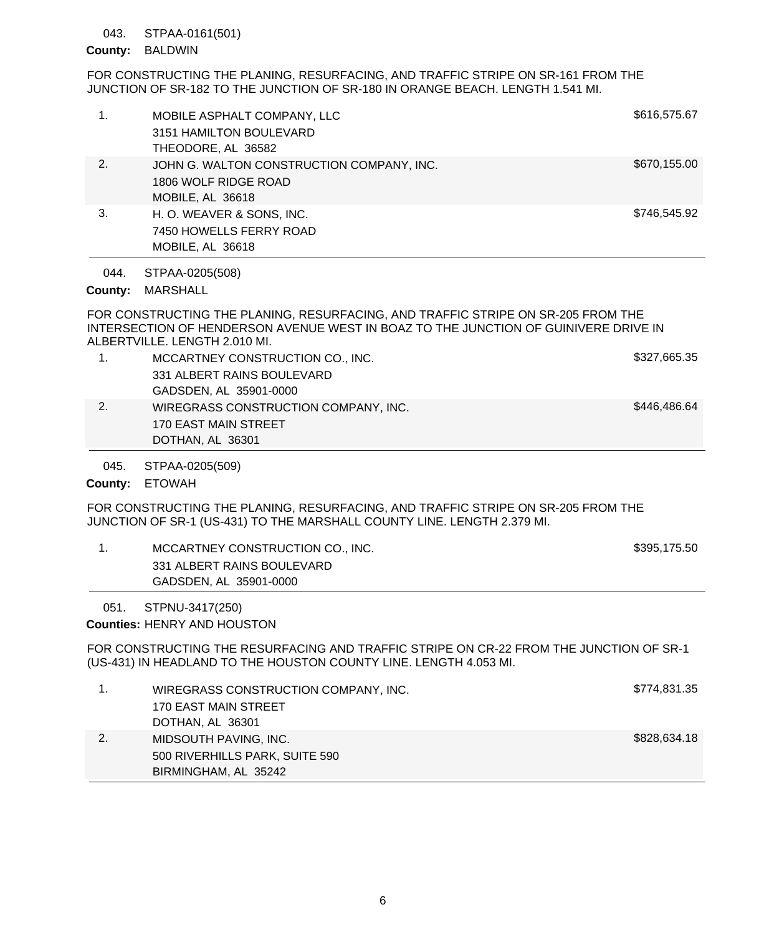### STPAA-0161(501) 043.

## County: BALDWIN

FOR CONSTRUCTING THE PLANING, RESURFACING, AND TRAFFIC STRIPE ON SR-161 FROM THE JUNCTION OF SR-182 TO THE JUNCTION OF SR-180 IN ORANGE BEACH. LENGTH 1.541 MI.

| 1. | MOBILE ASPHALT COMPANY, LLC<br>3151 HAMILTON BOULEVARD<br>THEODORE, AL 36582          | \$616,575.67 |
|----|---------------------------------------------------------------------------------------|--------------|
| 2. | JOHN G. WALTON CONSTRUCTION COMPANY, INC.<br>1806 WOLF RIDGE ROAD<br>MOBILE, AL 36618 | \$670,155.00 |
| 3. | H. O. WEAVER & SONS, INC.<br>7450 HOWELLS FERRY ROAD<br>MOBILE, AL 36618              | \$746,545.92 |

STPAA-0205(508) 044.

County: MARSHALL

FOR CONSTRUCTING THE PLANING, RESURFACING, AND TRAFFIC STRIPE ON SR-205 FROM THE INTERSECTION OF HENDERSON AVENUE WEST IN BOAZ TO THE JUNCTION OF GUINIVERE DRIVE IN ALBERTVILLE. LENGTH 2.010 MI.

|    | MCCARTNEY CONSTRUCTION CO., INC.     | \$327,665.35 |
|----|--------------------------------------|--------------|
|    | 331 ALBERT RAINS BOULEVARD           |              |
|    | GADSDEN, AL 35901-0000               |              |
| 2. | WIREGRASS CONSTRUCTION COMPANY, INC. | \$446,486.64 |
|    | 170 EAST MAIN STREET                 |              |
|    | DOTHAN, AL 36301                     |              |

STPAA-0205(509) 045.

County: ETOWAH

FOR CONSTRUCTING THE PLANING, RESURFACING, AND TRAFFIC STRIPE ON SR-205 FROM THE JUNCTION OF SR-1 (US-431) TO THE MARSHALL COUNTY LINE. LENGTH 2.379 MI.

| MCCARTNEY CONSTRUCTION CO., INC. | \$395,175.50 |
|----------------------------------|--------------|
| 331 ALBERT RAINS BOULEVARD       |              |
| GADSDEN, AL 35901-0000           |              |

### STPNU-3417(250) 051.

**Counties: HENRY AND HOUSTON** 

FOR CONSTRUCTING THE RESURFACING AND TRAFFIC STRIPE ON CR-22 FROM THE JUNCTION OF SR-1 (US-431) IN HEADLAND TO THE HOUSTON COUNTY LINE. LENGTH 4.053 MI.

|    | WIREGRASS CONSTRUCTION COMPANY, INC. | \$774,831.35 |
|----|--------------------------------------|--------------|
|    | 170 EAST MAIN STREET                 |              |
|    | DOTHAN, AL 36301                     |              |
| 2. | MIDSOUTH PAVING, INC.                | \$828,634.18 |
|    | 500 RIVERHILLS PARK, SUITE 590       |              |
|    | BIRMINGHAM, AL 35242                 |              |